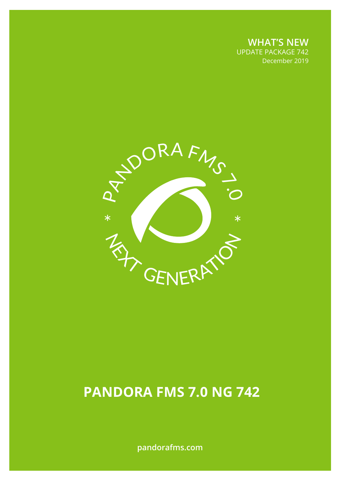**WHAT'S NEW** UPDATE PACKAGE 742 December 2019

December 2019



# **PANDORA FMS 7.0 NG 742**

**pandorafms.com**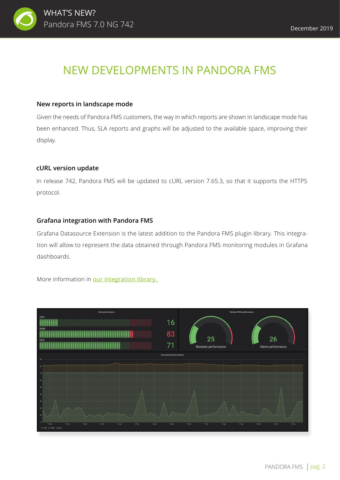## NEW DEVELOPMENTS IN PANDORA FMS

#### **New reports in landscape mode**

Given the needs of Pandora FMS customers, the way in which reports are shown in landscape mode has been enhanced. Thus, SLA reports and graphs will be adjusted to the available space, improving their display.

#### **cURL version update**

In release 742, Pandora FMS will be updated to cURL version 7.65.3, so that it supports the HTTPS protocol.

#### **Grafana integration with Pandora FMS**

Grafana Datasource Extension is the latest addition to the Pandora FMS plugin library. This integration will allow to represent the data obtained through Pandora FMS monitoring modules in Grafana dashboards.

More information in our integration library.

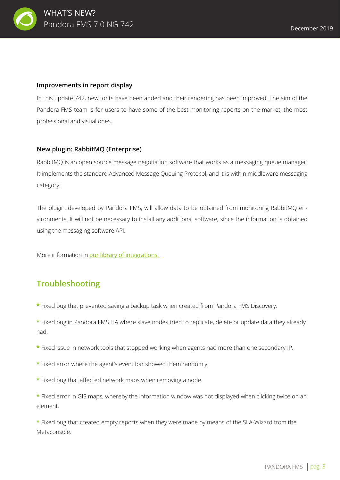

#### **Improvements in report display**

In this update 742, new fonts have been added and their rendering has been improved. The aim of the Pandora FMS team is for users to have some of the best monitoring reports on the market, the most professional and visual ones.

#### **New plugin: RabbitMQ (Enterprise)**

RabbitMQ is an open source message negotiation software that works as a messaging queue manager. It implements the standard Advanced Message Queuing Protocol, and it is within middleware messaging category.

The plugin, developed by Pandora FMS, will allow data to be obtained from monitoring RabbitMQ environments. It will not be necessary to install any additional software, since the information is obtained using the messaging software API.

More information in our library of integrations.

### **Troubleshooting**

- **\*** Fixed bug that prevented saving a backup task when created from Pandora FMS Discovery.
- **\*** Fixed bug in Pandora FMS HA where slave nodes tried to replicate, delete or update data they already had.
- **\*** Fixed issue in network tools that stopped working when agents had more than one secondary IP.
- **\*** Fixed error where the agent's event bar showed them randomly.
- **\*** Fixed bug that affected network maps when removing a node.
- **\*** Fixed error in GIS maps, whereby the information window was not displayed when clicking twice on an element.

**\*** Fixed bug that created empty reports when they were made by means of the SLA-Wizard from the Metaconsole.